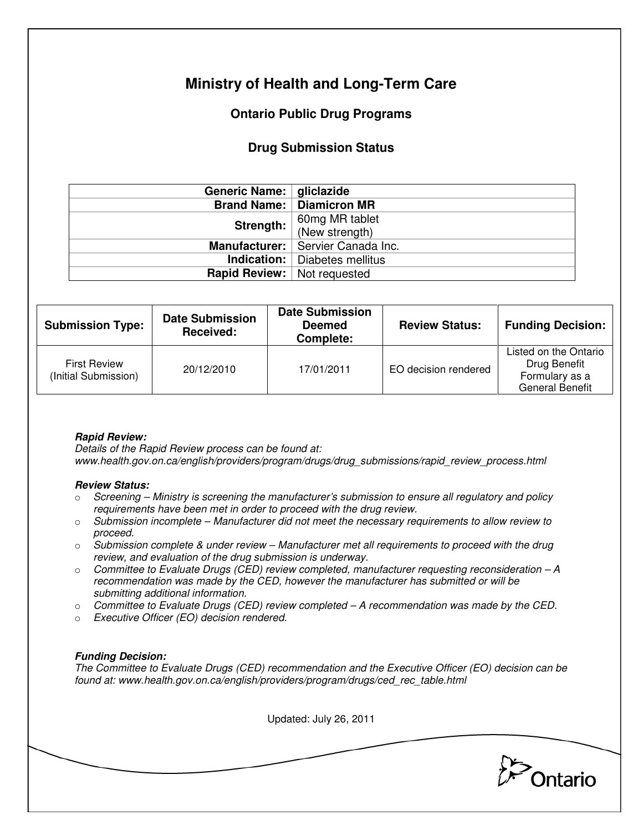# **Ministry of Health and Long-Term Care**

## **Ontario Public Drug Programs**

## **Drug Submission Status**

| Generic Name:   gliclazide           |                                      |  |
|--------------------------------------|--------------------------------------|--|
|                                      | <b>Brand Name:   Diamicron MR</b>    |  |
| Strength:                            | 60mg MR tablet<br>(New strength)     |  |
|                                      |                                      |  |
|                                      | Manufacturer:   Servier Canada Inc.  |  |
|                                      | <b>Indication:</b> Diabetes mellitus |  |
| <b>Rapid Review:</b>   Not requested |                                      |  |

| <b>Submission Type:</b>                     | <b>Date Submission</b><br>Received: | <b>Date Submission</b><br><b>Deemed</b><br>Complete: | <b>Review Status:</b> | <b>Funding Decision:</b>                                                          |
|---------------------------------------------|-------------------------------------|------------------------------------------------------|-----------------------|-----------------------------------------------------------------------------------|
| <b>First Review</b><br>(Initial Submission) | 20/12/2010                          | 17/01/2011                                           | EO decision rendered  | Listed on the Ontario<br>Drug Benefit<br>Formulary as a<br><b>General Benefit</b> |

### **Rapid Review:**

Details of the Rapid Review process can be found at: www.health.gov.on.ca/english/providers/program/drugs/drug\_submissions/rapid\_review\_process.html

#### **Review Status:**

- $\circ$  Screening Ministry is screening the manufacturer's submission to ensure all regulatory and policy requirements have been met in order to proceed with the drug review.
- $\circ$  Submission incomplete Manufacturer did not meet the necessary requirements to allow review to proceed.
- $\circ$  Submission complete & under review Manufacturer met all requirements to proceed with the drug review, and evaluation of the drug submission is underway.
- $\circ$  Committee to Evaluate Drugs (CED) review completed, manufacturer requesting reconsideration  $-A$ recommendation was made by the CED, however the manufacturer has submitted or will be submitting additional information.
- $\circ$  Committee to Evaluate Drugs (CED) review completed A recommendation was made by the CED.
- o Executive Officer (EO) decision rendered.

### **Funding Decision:**

The Committee to Evaluate Drugs (CED) recommendation and the Executive Officer (EO) decision can be found at: www.health.gov.on.ca/english/providers/program/drugs/ced\_rec\_table.html

Updated: July 26, 2011 Ontario